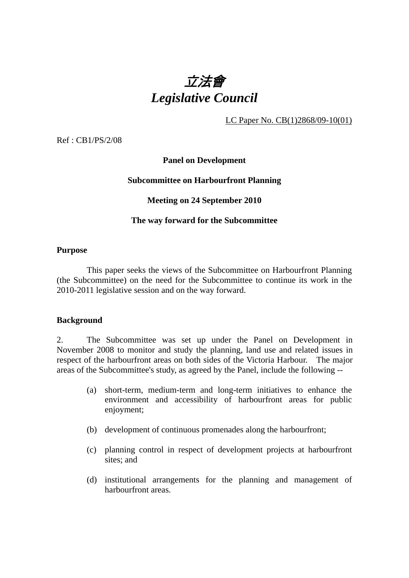

LC Paper No. CB(1)2868/09-10(01)

Ref : CB1/PS/2/08

# **Panel on Development**

## **Subcommittee on Harbourfront Planning**

# **Meeting on 24 September 2010**

## **The way forward for the Subcommittee**

#### **Purpose**

 This paper seeks the views of the Subcommittee on Harbourfront Planning (the Subcommittee) on the need for the Subcommittee to continue its work in the 2010-2011 legislative session and on the way forward.

## **Background**

2. The Subcommittee was set up under the Panel on Development in November 2008 to monitor and study the planning, land use and related issues in respect of the harbourfront areas on both sides of the Victoria Harbour. The major areas of the Subcommittee's study, as agreed by the Panel, include the following --

- (a) short-term, medium-term and long-term initiatives to enhance the environment and accessibility of harbourfront areas for public enjoyment;
- (b) development of continuous promenades along the harbourfront;
- (c) planning control in respect of development projects at harbourfront sites; and
- (d) institutional arrangements for the planning and management of harbourfront areas.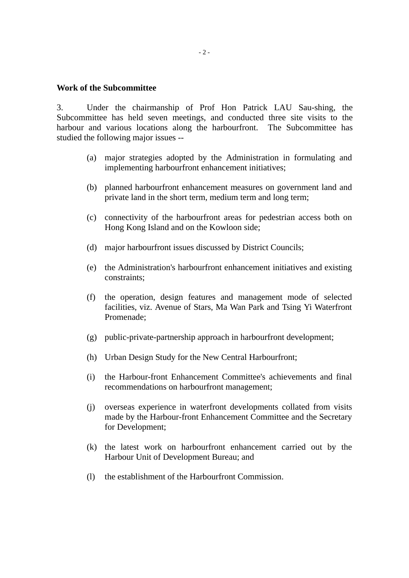## **Work of the Subcommittee**

3. Under the chairmanship of Prof Hon Patrick LAU Sau-shing, the Subcommittee has held seven meetings, and conducted three site visits to the harbour and various locations along the harbourfront. The Subcommittee has studied the following major issues --

- (a) major strategies adopted by the Administration in formulating and implementing harbourfront enhancement initiatives;
- (b) planned harbourfront enhancement measures on government land and private land in the short term, medium term and long term;
- (c) connectivity of the harbourfront areas for pedestrian access both on Hong Kong Island and on the Kowloon side;
- (d) major harbourfront issues discussed by District Councils;
- (e) the Administration's harbourfront enhancement initiatives and existing constraints;
- (f) the operation, design features and management mode of selected facilities, viz. Avenue of Stars, Ma Wan Park and Tsing Yi Waterfront Promenade;
- (g) public-private-partnership approach in harbourfront development;
- (h) Urban Design Study for the New Central Harbourfront;
- (i) the Harbour-front Enhancement Committee's achievements and final recommendations on harbourfront management;
- (j) overseas experience in waterfront developments collated from visits made by the Harbour-front Enhancement Committee and the Secretary for Development;
- (k) the latest work on harbourfront enhancement carried out by the Harbour Unit of Development Bureau; and
- (l) the establishment of the Harbourfront Commission.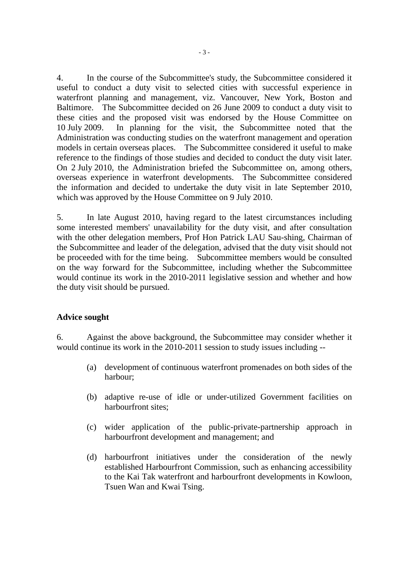4. In the course of the Subcommittee's study, the Subcommittee considered it useful to conduct a duty visit to selected cities with successful experience in waterfront planning and management, viz. Vancouver, New York, Boston and Baltimore. The Subcommittee decided on 26 June 2009 to conduct a duty visit to these cities and the proposed visit was endorsed by the House Committee on 10 July 2009. In planning for the visit, the Subcommittee noted that the Administration was conducting studies on the waterfront management and operation models in certain overseas places. The Subcommittee considered it useful to make reference to the findings of those studies and decided to conduct the duty visit later. On 2 July 2010, the Administration briefed the Subcommittee on, among others, overseas experience in waterfront developments. The Subcommittee considered the information and decided to undertake the duty visit in late September 2010, which was approved by the House Committee on 9 July 2010.

5. In late August 2010, having regard to the latest circumstances including some interested members' unavailability for the duty visit, and after consultation with the other delegation members, Prof Hon Patrick LAU Sau-shing, Chairman of the Subcommittee and leader of the delegation, advised that the duty visit should not be proceeded with for the time being. Subcommittee members would be consulted on the way forward for the Subcommittee, including whether the Subcommittee would continue its work in the 2010-2011 legislative session and whether and how the duty visit should be pursued.

## **Advice sought**

6. Against the above background, the Subcommittee may consider whether it would continue its work in the 2010-2011 session to study issues including --

- (a) development of continuous waterfront promenades on both sides of the harbour;
- (b) adaptive re-use of idle or under-utilized Government facilities on harbourfront sites:
- (c) wider application of the public-private-partnership approach in harbourfront development and management; and
- (d) harbourfront initiatives under the consideration of the newly established Harbourfront Commission, such as enhancing accessibility to the Kai Tak waterfront and harbourfront developments in Kowloon, Tsuen Wan and Kwai Tsing.